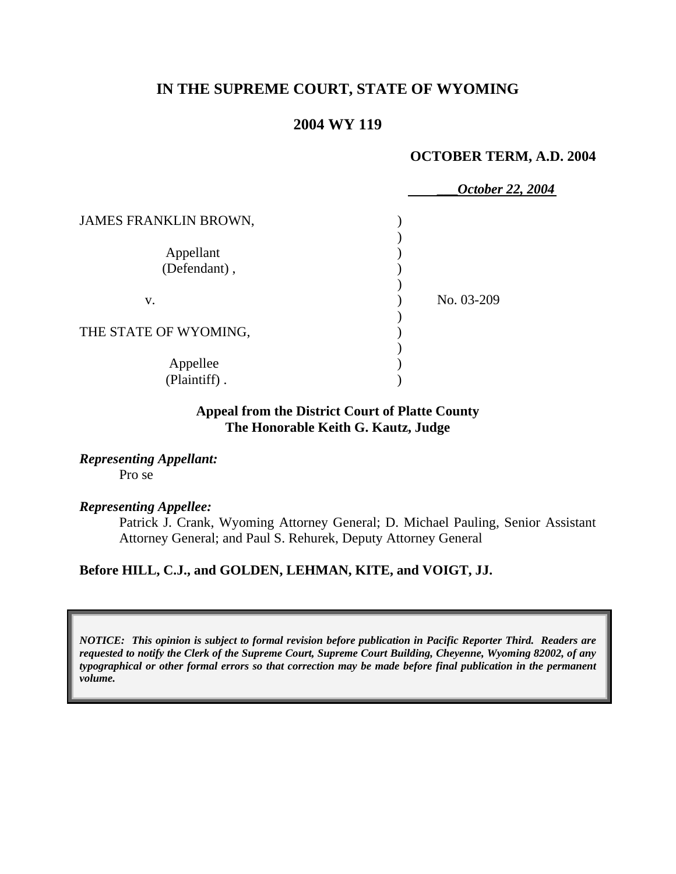# **IN THE SUPREME COURT, STATE OF WYOMING**

# **2004 WY 119**

### **OCTOBER TERM, A.D. 2004**

|                          | October 22, 2004 |
|--------------------------|------------------|
| JAMES FRANKLIN BROWN,    |                  |
|                          |                  |
| Appellant                |                  |
| (Defendant),             |                  |
|                          |                  |
| V.                       | No. 03-209       |
|                          |                  |
| THE STATE OF WYOMING,    |                  |
|                          |                  |
|                          |                  |
|                          |                  |
| Appellee<br>(Plaintiff). |                  |

## **Appeal from the District Court of Platte County The Honorable Keith G. Kautz, Judge**

*Representing Appellant:*  Pro se

#### *Representing Appellee:*

Patrick J. Crank, Wyoming Attorney General; D. Michael Pauling, Senior Assistant Attorney General; and Paul S. Rehurek, Deputy Attorney General

### **Before HILL, C.J., and GOLDEN, LEHMAN, KITE, and VOIGT, JJ.**

*NOTICE: This opinion is subject to formal revision before publication in Pacific Reporter Third. Readers are requested to notify the Clerk of the Supreme Court, Supreme Court Building, Cheyenne, Wyoming 82002, of any typographical or other formal errors so that correction may be made before final publication in the permanent volume.*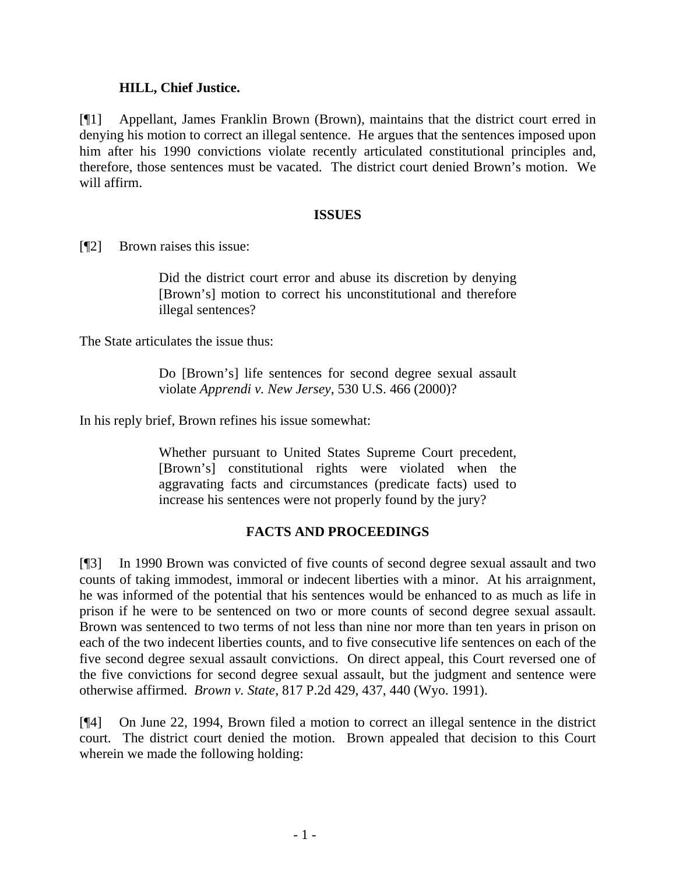## **HILL, Chief Justice.**

[¶1] Appellant, James Franklin Brown (Brown), maintains that the district court erred in denying his motion to correct an illegal sentence. He argues that the sentences imposed upon him after his 1990 convictions violate recently articulated constitutional principles and, therefore, those sentences must be vacated. The district court denied Brown's motion. We will affirm.

## **ISSUES**

[¶2] Brown raises this issue:

Did the district court error and abuse its discretion by denying [Brown's] motion to correct his unconstitutional and therefore illegal sentences?

The State articulates the issue thus:

Do [Brown's] life sentences for second degree sexual assault violate *Apprendi v. New Jersey*, 530 U.S. 466 (2000)?

In his reply brief, Brown refines his issue somewhat:

Whether pursuant to United States Supreme Court precedent, [Brown's] constitutional rights were violated when the aggravating facts and circumstances (predicate facts) used to increase his sentences were not properly found by the jury?

## **FACTS AND PROCEEDINGS**

[¶3] In 1990 Brown was convicted of five counts of second degree sexual assault and two counts of taking immodest, immoral or indecent liberties with a minor. At his arraignment, he was informed of the potential that his sentences would be enhanced to as much as life in prison if he were to be sentenced on two or more counts of second degree sexual assault. Brown was sentenced to two terms of not less than nine nor more than ten years in prison on each of the two indecent liberties counts, and to five consecutive life sentences on each of the five second degree sexual assault convictions. On direct appeal, this Court reversed one of the five convictions for second degree sexual assault, but the judgment and sentence were otherwise affirmed. *Brown v. State*, 817 P.2d 429, 437, 440 (Wyo. 1991).

[¶4] On June 22, 1994, Brown filed a motion to correct an illegal sentence in the district court. The district court denied the motion. Brown appealed that decision to this Court wherein we made the following holding: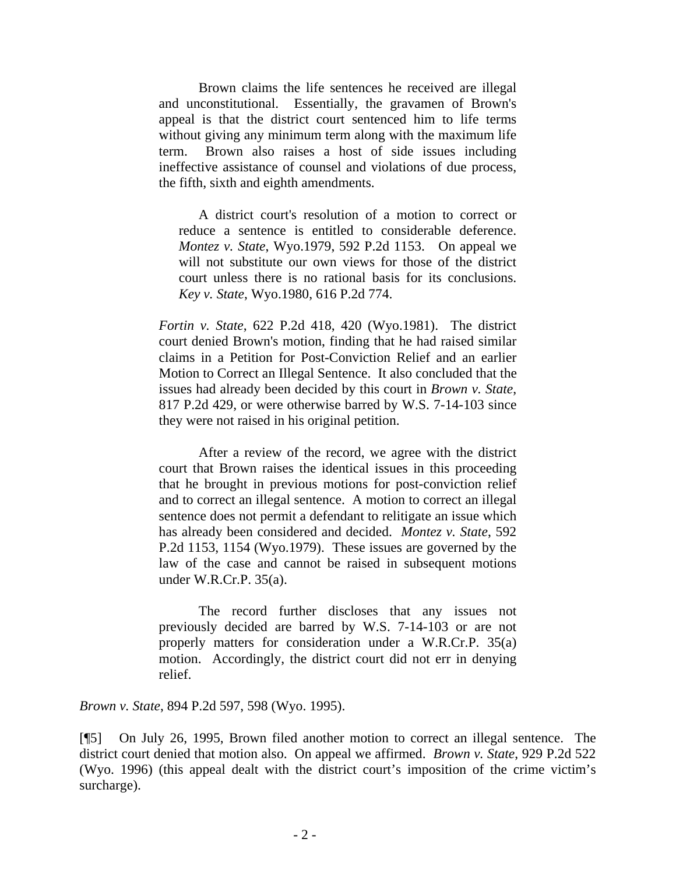Brown claims the life sentences he received are illegal and unconstitutional. Essentially, the gravamen of Brown's appeal is that the district court sentenced him to life terms without giving any minimum term along with the maximum life term. Brown also raises a host of side issues including ineffective assistance of counsel and violations of due process, the fifth, sixth and eighth amendments.

A district court's resolution of a motion to correct or reduce a sentence is entitled to considerable deference. *Montez v. State*, Wyo.1979, 592 P.2d 1153. On appeal we will not substitute our own views for those of the district court unless there is no rational basis for its conclusions. *Key v. State*, Wyo.1980, 616 P.2d 774.

*Fortin v. State*, 622 P.2d 418, 420 (Wyo.1981). The district court denied Brown's motion, finding that he had raised similar claims in a Petition for Post-Conviction Relief and an earlier Motion to Correct an Illegal Sentence. It also concluded that the issues had already been decided by this court in *Brown v. State*, 817 P.2d 429, or were otherwise barred by W.S. 7-14-103 since they were not raised in his original petition.

After a review of the record, we agree with the district court that Brown raises the identical issues in this proceeding that he brought in previous motions for post-conviction relief and to correct an illegal sentence. A motion to correct an illegal sentence does not permit a defendant to relitigate an issue which has already been considered and decided. *Montez v. State*, 592 P.2d 1153, 1154 (Wyo.1979). These issues are governed by the law of the case and cannot be raised in subsequent motions under W.R.Cr.P. 35(a).

The record further discloses that any issues not previously decided are barred by W.S. 7-14-103 or are not properly matters for consideration under a W.R.Cr.P. 35(a) motion. Accordingly, the district court did not err in denying relief.

*Brown v. State*, 894 P.2d 597, 598 (Wyo. 1995).

[¶5] On July 26, 1995, Brown filed another motion to correct an illegal sentence. The district court denied that motion also. On appeal we affirmed. *Brown v. State*, 929 P.2d 522 (Wyo. 1996) (this appeal dealt with the district court's imposition of the crime victim's surcharge).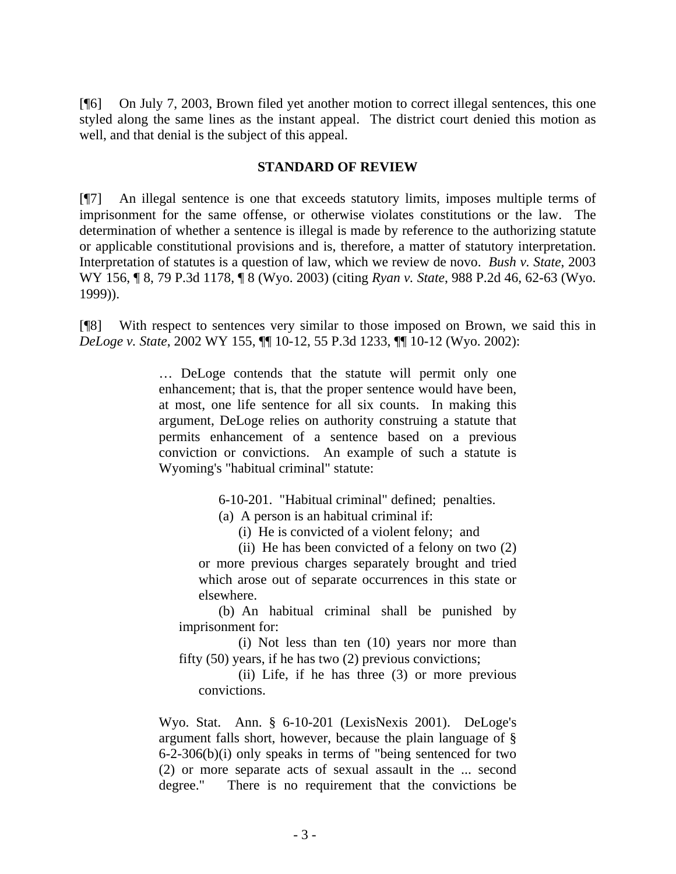[¶6] On July 7, 2003, Brown filed yet another motion to correct illegal sentences, this one styled along the same lines as the instant appeal. The district court denied this motion as well, and that denial is the subject of this appeal.

## **STANDARD OF REVIEW**

[¶7] An illegal sentence is one that exceeds statutory limits, imposes multiple terms of imprisonment for the same offense, or otherwise violates constitutions or the law. The determination of whether a sentence is illegal is made by reference to the authorizing statute or applicable constitutional provisions and is, therefore, a matter of statutory interpretation. Interpretation of statutes is a question of law, which we review de novo. *Bush v. State*, 2003 WY 156, ¶ 8, 79 P.3d 1178, ¶ 8 (Wyo. 2003) (citing *Ryan v. State*, 988 P.2d 46, 62-63 (Wyo. 1999)).

[¶8] With respect to sentences very similar to those imposed on Brown, we said this in *DeLoge v. State*, 2002 WY 155, ¶¶ 10-12, 55 P.3d 1233, ¶¶ 10-12 (Wyo. 2002):

> … DeLoge contends that the statute will permit only one enhancement; that is, that the proper sentence would have been, at most, one life sentence for all six counts. In making this argument, DeLoge relies on authority construing a statute that permits enhancement of a sentence based on a previous conviction or convictions. An example of such a statute is Wyoming's "habitual criminal" statute:

> > 6-10-201. "Habitual criminal" defined; penalties.

(a) A person is an habitual criminal if:

(i) He is convicted of a violent felony; and

(ii) He has been convicted of a felony on two (2) or more previous charges separately brought and tried which arose out of separate occurrences in this state or elsewhere.

(b) An habitual criminal shall be punished by imprisonment for:

(i) Not less than ten (10) years nor more than fifty (50) years, if he has two (2) previous convictions;

(ii) Life, if he has three (3) or more previous convictions.

Wyo. Stat. Ann. § 6-10-201 (LexisNexis 2001). DeLoge's argument falls short, however, because the plain language of § 6-2-306(b)(i) only speaks in terms of "being sentenced for two (2) or more separate acts of sexual assault in the ... second degree." There is no requirement that the convictions be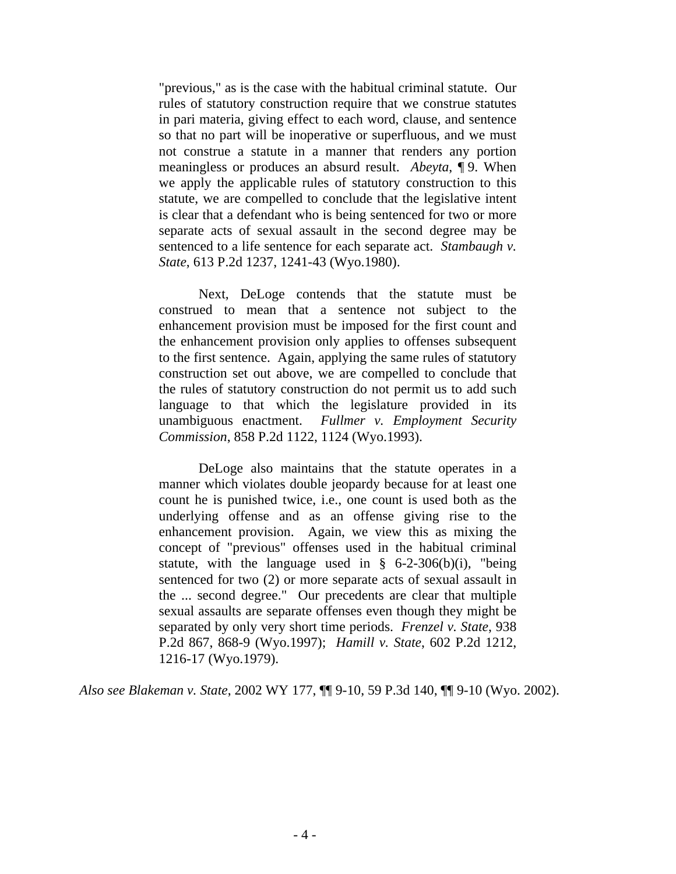"previous," as is the case with the habitual criminal statute. Our rules of statutory construction require that we construe statutes in pari materia, giving effect to each word, clause, and sentence so that no part will be inoperative or superfluous, and we must not construe a statute in a manner that renders any portion meaningless or produces an absurd result. *Abeyta*, ¶ 9. When we apply the applicable rules of statutory construction to this statute, we are compelled to conclude that the legislative intent is clear that a defendant who is being sentenced for two or more separate acts of sexual assault in the second degree may be sentenced to a life sentence for each separate act. *Stambaugh v. State*, 613 P.2d 1237, 1241-43 (Wyo.1980).

Next, DeLoge contends that the statute must be construed to mean that a sentence not subject to the enhancement provision must be imposed for the first count and the enhancement provision only applies to offenses subsequent to the first sentence. Again, applying the same rules of statutory construction set out above, we are compelled to conclude that the rules of statutory construction do not permit us to add such language to that which the legislature provided in its unambiguous enactment. *Fullmer v. Employment Security Commission*, 858 P.2d 1122, 1124 (Wyo.1993).

DeLoge also maintains that the statute operates in a manner which violates double jeopardy because for at least one count he is punished twice, i.e., one count is used both as the underlying offense and as an offense giving rise to the enhancement provision. Again, we view this as mixing the concept of "previous" offenses used in the habitual criminal statute, with the language used in  $\S$  6-2-306(b)(i), "being sentenced for two (2) or more separate acts of sexual assault in the ... second degree." Our precedents are clear that multiple sexual assaults are separate offenses even though they might be separated by only very short time periods. *Frenzel v. State*, 938 P.2d 867, 868-9 (Wyo.1997); *Hamill v. State*, 602 P.2d 1212, 1216-17 (Wyo.1979).

*Also see Blakeman v. State*, 2002 WY 177, ¶¶ 9-10, 59 P.3d 140, ¶¶ 9-10 (Wyo. 2002).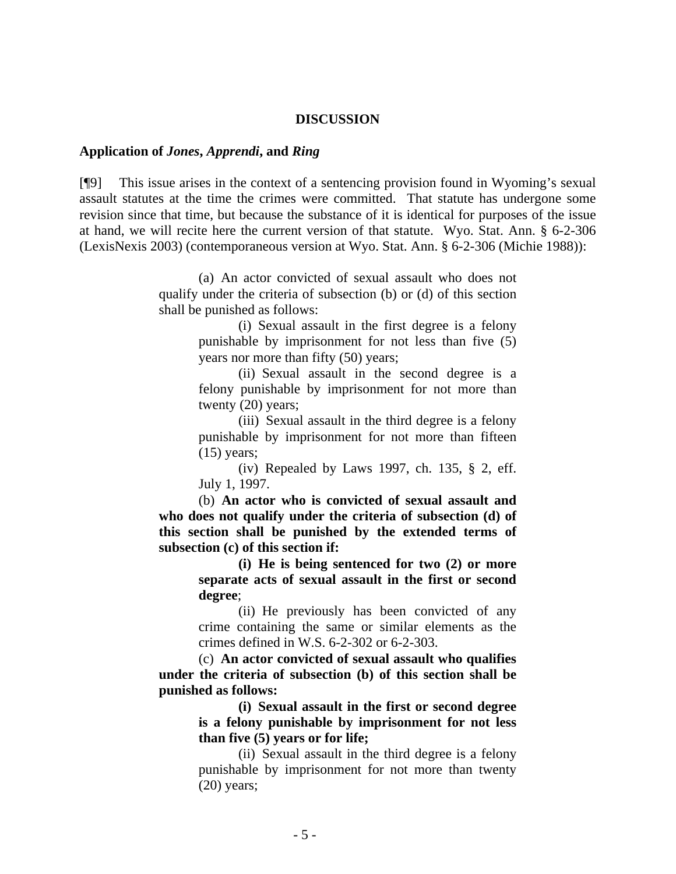#### **DISCUSSION**

### **Application of** *Jones***,** *Apprendi***, and** *Ring*

[¶9] This issue arises in the context of a sentencing provision found in Wyoming's sexual assault statutes at the time the crimes were committed. That statute has undergone some revision since that time, but because the substance of it is identical for purposes of the issue at hand, we will recite here the current version of that statute. Wyo. Stat. Ann. § 6-2-306 (LexisNexis 2003) (contemporaneous version at Wyo. Stat. Ann. § 6-2-306 (Michie 1988)):

> (a) An actor convicted of sexual assault who does not qualify under the criteria of subsection (b) or (d) of this section shall be punished as follows:

> > (i) Sexual assault in the first degree is a felony punishable by imprisonment for not less than five (5) years nor more than fifty (50) years;

> > (ii) Sexual assault in the second degree is a felony punishable by imprisonment for not more than twenty (20) years;

> > (iii) Sexual assault in the third degree is a felony punishable by imprisonment for not more than fifteen  $(15)$  years;

> > (iv) Repealed by Laws 1997, ch. 135, § 2, eff. July 1, 1997.

 (b) **An actor who is convicted of sexual assault and who does not qualify under the criteria of subsection (d) of this section shall be punished by the extended terms of subsection (c) of this section if:** 

> **(i) He is being sentenced for two (2) or more separate acts of sexual assault in the first or second degree**;

> (ii) He previously has been convicted of any crime containing the same or similar elements as the crimes defined in W.S. 6-2-302 or 6-2-303.

 (c) **An actor convicted of sexual assault who qualifies under the criteria of subsection (b) of this section shall be punished as follows:** 

> **(i) Sexual assault in the first or second degree is a felony punishable by imprisonment for not less than five (5) years or for life;**

> (ii) Sexual assault in the third degree is a felony punishable by imprisonment for not more than twenty (20) years;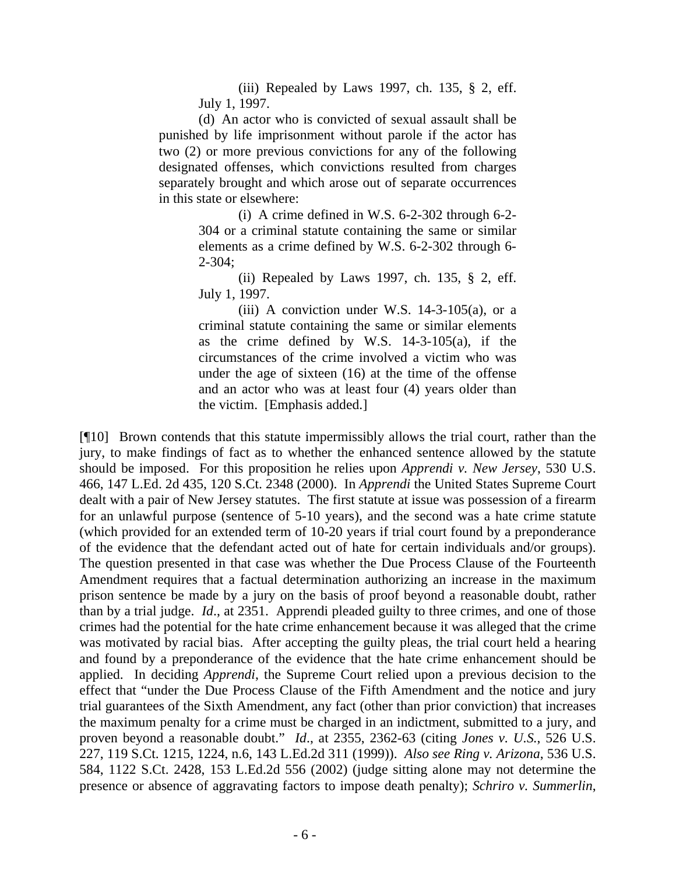(iii) Repealed by Laws 1997, ch. 135,  $\S$  2, eff. July 1, 1997.

(d) An actor who is convicted of sexual assault shall be punished by life imprisonment without parole if the actor has two (2) or more previous convictions for any of the following designated offenses, which convictions resulted from charges separately brought and which arose out of separate occurrences in this state or elsewhere:

> (i) A crime defined in W.S. 6-2-302 through 6-2- 304 or a criminal statute containing the same or similar elements as a crime defined by W.S. 6-2-302 through 6- 2-304;

> (ii) Repealed by Laws 1997, ch. 135,  $\S$  2, eff. July 1, 1997.

(iii) A conviction under W.S.  $14-3-105(a)$ , or a criminal statute containing the same or similar elements as the crime defined by W.S.  $14-3-105(a)$ , if the circumstances of the crime involved a victim who was under the age of sixteen (16) at the time of the offense and an actor who was at least four (4) years older than the victim. [Emphasis added.]

[¶10] Brown contends that this statute impermissibly allows the trial court, rather than the jury, to make findings of fact as to whether the enhanced sentence allowed by the statute should be imposed. For this proposition he relies upon *Apprendi v. New Jersey*, 530 U.S. 466, 147 L.Ed. 2d 435, 120 S.Ct. 2348 (2000). In *Apprendi* the United States Supreme Court dealt with a pair of New Jersey statutes. The first statute at issue was possession of a firearm for an unlawful purpose (sentence of 5-10 years), and the second was a hate crime statute (which provided for an extended term of 10-20 years if trial court found by a preponderance of the evidence that the defendant acted out of hate for certain individuals and/or groups). The question presented in that case was whether the Due Process Clause of the Fourteenth Amendment requires that a factual determination authorizing an increase in the maximum prison sentence be made by a jury on the basis of proof beyond a reasonable doubt, rather than by a trial judge. *Id*., at 2351. Apprendi pleaded guilty to three crimes, and one of those crimes had the potential for the hate crime enhancement because it was alleged that the crime was motivated by racial bias. After accepting the guilty pleas, the trial court held a hearing and found by a preponderance of the evidence that the hate crime enhancement should be applied. In deciding *Apprendi*, the Supreme Court relied upon a previous decision to the effect that "under the Due Process Clause of the Fifth Amendment and the notice and jury trial guarantees of the Sixth Amendment, any fact (other than prior conviction) that increases the maximum penalty for a crime must be charged in an indictment, submitted to a jury, and proven beyond a reasonable doubt." *Id*., at 2355, 2362-63 (citing *Jones v. U.S.*, 526 U.S. 227, 119 S.Ct. 1215, 1224, n.6, 143 L.Ed.2d 311 (1999)). *Also see Ring v. Arizona*, 536 U.S. 584, 1122 S.Ct. 2428, 153 L.Ed.2d 556 (2002) (judge sitting alone may not determine the presence or absence of aggravating factors to impose death penalty); *Schriro v. Summerlin*,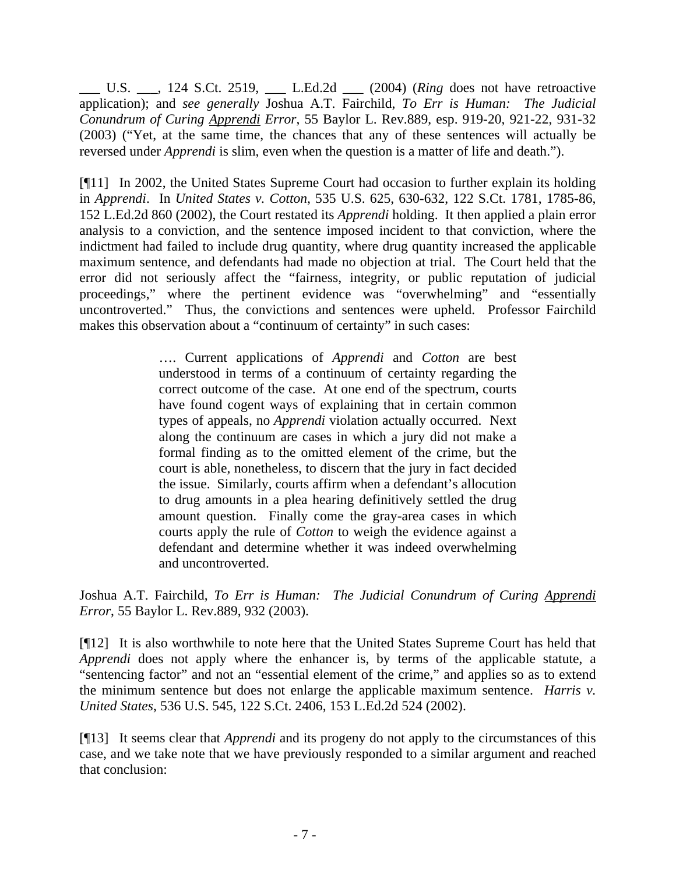\_\_\_ U.S. \_\_\_, 124 S.Ct. 2519, \_\_\_ L.Ed.2d \_\_\_ (2004) (*Ring* does not have retroactive application); and *see generally* Joshua A.T. Fairchild, *To Err is Human: The Judicial Conundrum of Curing Apprendi Error*, 55 Baylor L. Rev.889, esp. 919-20, 921-22, 931-32 (2003) ("Yet, at the same time, the chances that any of these sentences will actually be reversed under *Apprendi* is slim, even when the question is a matter of life and death.").

[¶11] In 2002, the United States Supreme Court had occasion to further explain its holding in *Apprendi*. In *United States v. Cotton*, 535 U.S. 625, 630-632, 122 S.Ct. 1781, 1785-86, 152 L.Ed.2d 860 (2002), the Court restated its *Apprendi* holding. It then applied a plain error analysis to a conviction, and the sentence imposed incident to that conviction, where the indictment had failed to include drug quantity, where drug quantity increased the applicable maximum sentence, and defendants had made no objection at trial. The Court held that the error did not seriously affect the "fairness, integrity, or public reputation of judicial proceedings," where the pertinent evidence was "overwhelming" and "essentially uncontroverted." Thus, the convictions and sentences were upheld. Professor Fairchild makes this observation about a "continuum of certainty" in such cases:

> …. Current applications of *Apprendi* and *Cotton* are best understood in terms of a continuum of certainty regarding the correct outcome of the case. At one end of the spectrum, courts have found cogent ways of explaining that in certain common types of appeals, no *Apprendi* violation actually occurred. Next along the continuum are cases in which a jury did not make a formal finding as to the omitted element of the crime, but the court is able, nonetheless, to discern that the jury in fact decided the issue. Similarly, courts affirm when a defendant's allocution to drug amounts in a plea hearing definitively settled the drug amount question. Finally come the gray-area cases in which courts apply the rule of *Cotton* to weigh the evidence against a defendant and determine whether it was indeed overwhelming and uncontroverted.

Joshua A.T. Fairchild, *To Err is Human: The Judicial Conundrum of Curing Apprendi Error*, 55 Baylor L. Rev.889, 932 (2003).

[¶12] It is also worthwhile to note here that the United States Supreme Court has held that *Apprendi* does not apply where the enhancer is, by terms of the applicable statute, a "sentencing factor" and not an "essential element of the crime," and applies so as to extend the minimum sentence but does not enlarge the applicable maximum sentence. *Harris v. United States*, 536 U.S. 545, 122 S.Ct. 2406, 153 L.Ed.2d 524 (2002).

[¶13] It seems clear that *Apprendi* and its progeny do not apply to the circumstances of this case, and we take note that we have previously responded to a similar argument and reached that conclusion: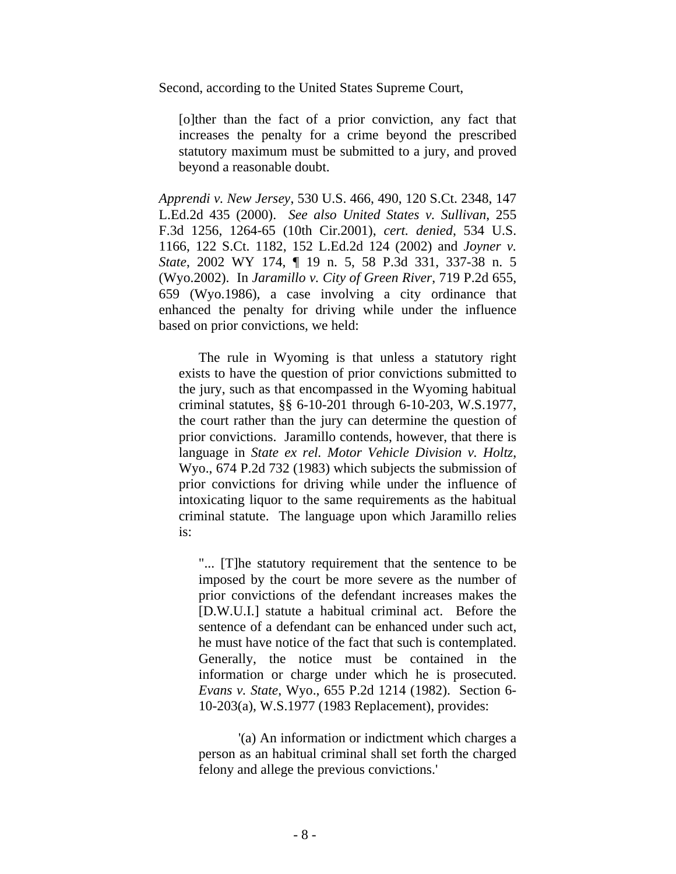Second, according to the United States Supreme Court,

[o]ther than the fact of a prior conviction, any fact that increases the penalty for a crime beyond the prescribed statutory maximum must be submitted to a jury, and proved beyond a reasonable doubt.

*Apprendi v. New Jersey*, 530 U.S. 466, 490, 120 S.Ct. 2348, 147 L.Ed.2d 435 (2000). *See also United States v. Sullivan*, 255 F.3d 1256, 1264-65 (10th Cir.2001), *cert. denied*, 534 U.S. 1166, 122 S.Ct. 1182, 152 L.Ed.2d 124 (2002) and *Joyner v. State*, 2002 WY 174, ¶ 19 n. 5, 58 P.3d 331, 337-38 n. 5 (Wyo.2002). In *Jaramillo v. City of Green River*, 719 P.2d 655, 659 (Wyo.1986), a case involving a city ordinance that enhanced the penalty for driving while under the influence based on prior convictions, we held:

The rule in Wyoming is that unless a statutory right exists to have the question of prior convictions submitted to the jury, such as that encompassed in the Wyoming habitual criminal statutes, §§ 6-10-201 through 6-10-203, W.S.1977, the court rather than the jury can determine the question of prior convictions. Jaramillo contends, however, that there is language in *State ex rel. Motor Vehicle Division v. Holtz*, Wyo., 674 P.2d 732 (1983) which subjects the submission of prior convictions for driving while under the influence of intoxicating liquor to the same requirements as the habitual criminal statute. The language upon which Jaramillo relies is:

"... [T]he statutory requirement that the sentence to be imposed by the court be more severe as the number of prior convictions of the defendant increases makes the [D.W.U.I.] statute a habitual criminal act. Before the sentence of a defendant can be enhanced under such act, he must have notice of the fact that such is contemplated. Generally, the notice must be contained in the information or charge under which he is prosecuted. *Evans v. State*, Wyo., 655 P.2d 1214 (1982). Section 6- 10-203(a), W.S.1977 (1983 Replacement), provides:

'(a) An information or indictment which charges a person as an habitual criminal shall set forth the charged felony and allege the previous convictions.'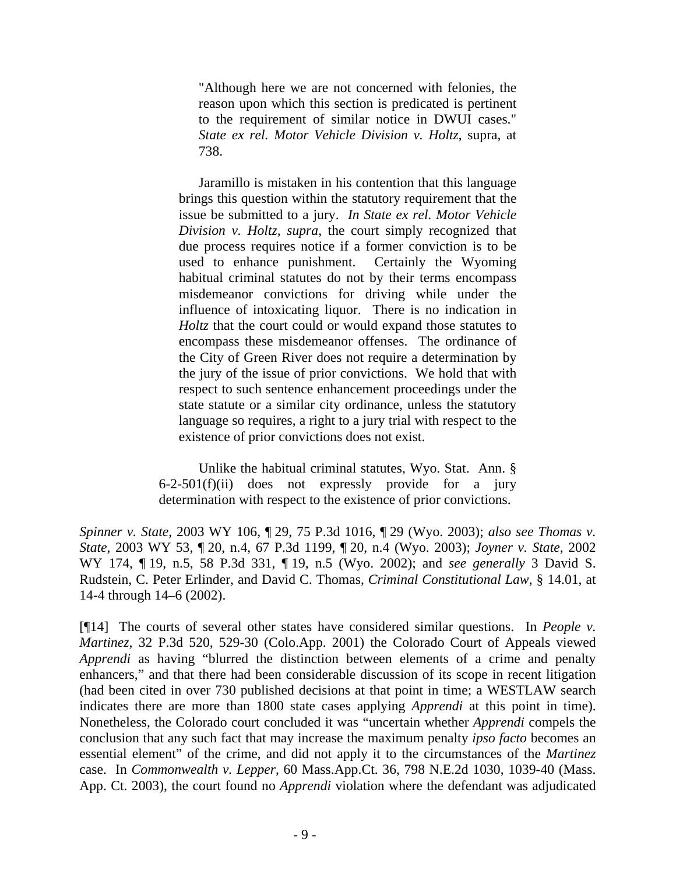"Although here we are not concerned with felonies, the reason upon which this section is predicated is pertinent to the requirement of similar notice in DWUI cases." *State ex rel. Motor Vehicle Division v. Holtz*, supra, at 738.

Jaramillo is mistaken in his contention that this language brings this question within the statutory requirement that the issue be submitted to a jury. *In State ex rel. Motor Vehicle Division v. Holtz, supra*, the court simply recognized that due process requires notice if a former conviction is to be used to enhance punishment. Certainly the Wyoming habitual criminal statutes do not by their terms encompass misdemeanor convictions for driving while under the influence of intoxicating liquor. There is no indication in *Holtz* that the court could or would expand those statutes to encompass these misdemeanor offenses. The ordinance of the City of Green River does not require a determination by the jury of the issue of prior convictions. We hold that with respect to such sentence enhancement proceedings under the state statute or a similar city ordinance, unless the statutory language so requires, a right to a jury trial with respect to the existence of prior convictions does not exist.

Unlike the habitual criminal statutes, Wyo. Stat. Ann. §  $6-2-501(f)(ii)$  does not expressly provide for a jury determination with respect to the existence of prior convictions.

*Spinner v. State*, 2003 WY 106, ¶ 29, 75 P.3d 1016, ¶ 29 (Wyo. 2003); *also see Thomas v. State*, 2003 WY 53, ¶ 20, n.4, 67 P.3d 1199, ¶ 20, n.4 (Wyo. 2003); *Joyner v. State*, 2002 WY 174, ¶ 19, n.5, 58 P.3d 331, ¶ 19, n.5 (Wyo. 2002); and *see generally* 3 David S. Rudstein, C. Peter Erlinder, and David C. Thomas, *Criminal Constitutional Law*, § 14.01, at 14-4 through 14–6 (2002).

[¶14] The courts of several other states have considered similar questions. In *People v. Martinez*, 32 P.3d 520, 529-30 (Colo.App. 2001) the Colorado Court of Appeals viewed *Apprendi* as having "blurred the distinction between elements of a crime and penalty enhancers," and that there had been considerable discussion of its scope in recent litigation (had been cited in over 730 published decisions at that point in time; a WESTLAW search indicates there are more than 1800 state cases applying *Apprendi* at this point in time). Nonetheless, the Colorado court concluded it was "uncertain whether *Apprendi* compels the conclusion that any such fact that may increase the maximum penalty *ipso facto* becomes an essential element" of the crime, and did not apply it to the circumstances of the *Martinez* case. In *Commonwealth v. Lepper*, 60 Mass.App.Ct. 36, 798 N.E.2d 1030, 1039-40 (Mass. App. Ct. 2003), the court found no *Apprendi* violation where the defendant was adjudicated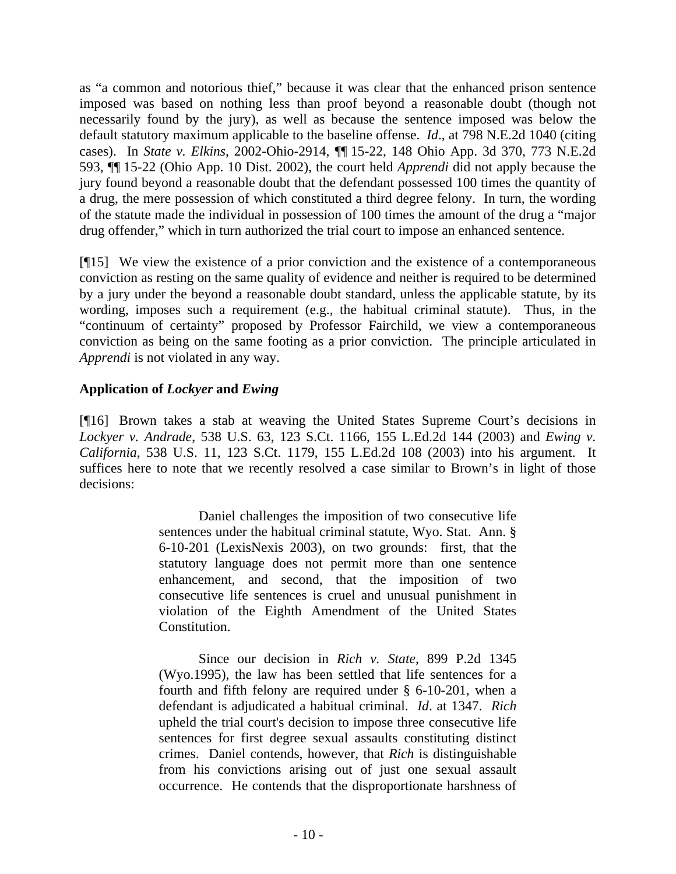as "a common and notorious thief," because it was clear that the enhanced prison sentence imposed was based on nothing less than proof beyond a reasonable doubt (though not necessarily found by the jury), as well as because the sentence imposed was below the default statutory maximum applicable to the baseline offense. *Id*., at 798 N.E.2d 1040 (citing cases). In *State v. Elkins*, 2002-Ohio-2914, ¶¶ 15-22, 148 Ohio App. 3d 370, 773 N.E.2d 593, ¶¶ 15-22 (Ohio App. 10 Dist. 2002), the court held *Apprendi* did not apply because the jury found beyond a reasonable doubt that the defendant possessed 100 times the quantity of a drug, the mere possession of which constituted a third degree felony. In turn, the wording of the statute made the individual in possession of 100 times the amount of the drug a "major drug offender," which in turn authorized the trial court to impose an enhanced sentence.

[¶15] We view the existence of a prior conviction and the existence of a contemporaneous conviction as resting on the same quality of evidence and neither is required to be determined by a jury under the beyond a reasonable doubt standard, unless the applicable statute, by its wording, imposes such a requirement (e.g., the habitual criminal statute). Thus, in the "continuum of certainty" proposed by Professor Fairchild, we view a contemporaneous conviction as being on the same footing as a prior conviction. The principle articulated in *Apprendi* is not violated in any way.

# **Application of** *Lockyer* **and** *Ewing*

[¶16] Brown takes a stab at weaving the United States Supreme Court's decisions in *Lockyer v. Andrade*, 538 U.S. 63, 123 S.Ct. 1166, 155 L.Ed.2d 144 (2003) and *Ewing v. California*, 538 U.S. 11, 123 S.Ct. 1179, 155 L.Ed.2d 108 (2003) into his argument. It suffices here to note that we recently resolved a case similar to Brown's in light of those decisions:

> Daniel challenges the imposition of two consecutive life sentences under the habitual criminal statute, Wyo. Stat. Ann. § 6-10-201 (LexisNexis 2003), on two grounds: first, that the statutory language does not permit more than one sentence enhancement, and second, that the imposition of two consecutive life sentences is cruel and unusual punishment in violation of the Eighth Amendment of the United States Constitution.

> Since our decision in *Rich v. State*, 899 P.2d 1345 (Wyo.1995), the law has been settled that life sentences for a fourth and fifth felony are required under § 6-10-201, when a defendant is adjudicated a habitual criminal. *Id*. at 1347. *Rich* upheld the trial court's decision to impose three consecutive life sentences for first degree sexual assaults constituting distinct crimes. Daniel contends, however, that *Rich* is distinguishable from his convictions arising out of just one sexual assault occurrence. He contends that the disproportionate harshness of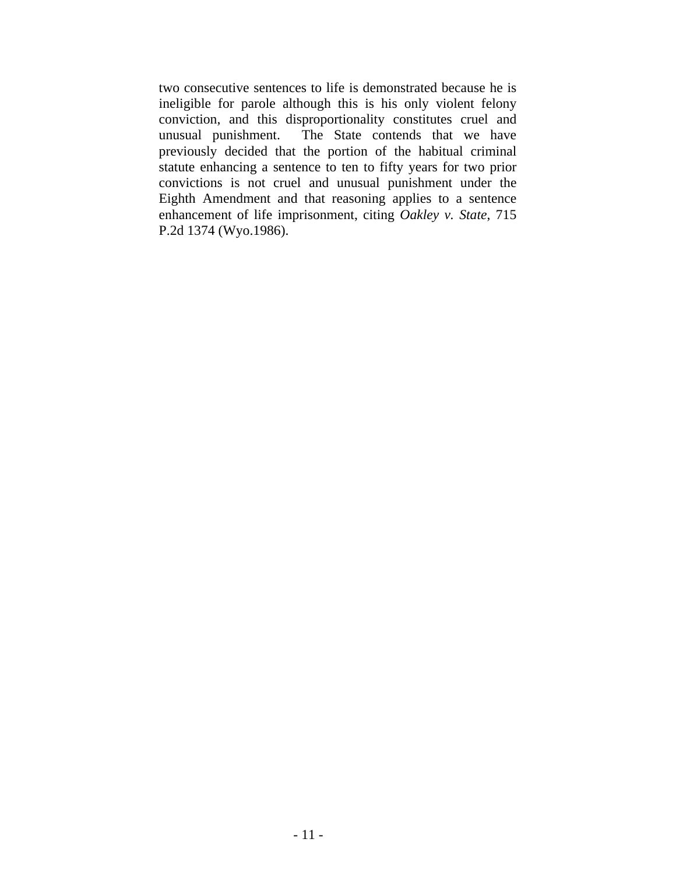two consecutive sentences to life is demonstrated because he is ineligible for parole although this is his only violent felony conviction, and this disproportionality constitutes cruel and unusual punishment. The State contends that we have previously decided that the portion of the habitual criminal statute enhancing a sentence to ten to fifty years for two prior convictions is not cruel and unusual punishment under the Eighth Amendment and that reasoning applies to a sentence enhancement of life imprisonment, citing *Oakley v. State*, 715 P.2d 1374 (Wyo.1986).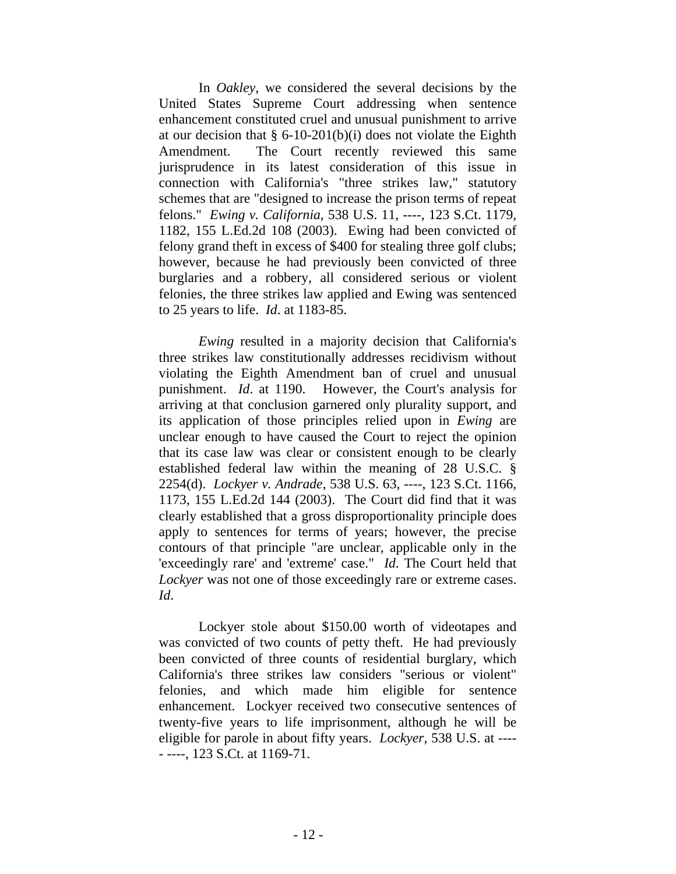In *Oakley*, we considered the several decisions by the United States Supreme Court addressing when sentence enhancement constituted cruel and unusual punishment to arrive at our decision that  $\S 6$ -10-201(b)(i) does not violate the Eighth Amendment. The Court recently reviewed this same jurisprudence in its latest consideration of this issue in connection with California's "three strikes law," statutory schemes that are "designed to increase the prison terms of repeat felons." *Ewing v. California*, 538 U.S. 11, ----, 123 S.Ct. 1179, 1182, 155 L.Ed.2d 108 (2003). Ewing had been convicted of felony grand theft in excess of \$400 for stealing three golf clubs; however, because he had previously been convicted of three burglaries and a robbery, all considered serious or violent felonies, the three strikes law applied and Ewing was sentenced to 25 years to life. *Id*. at 1183-85.

*Ewing* resulted in a majority decision that California's three strikes law constitutionally addresses recidivism without violating the Eighth Amendment ban of cruel and unusual punishment. *Id*. at 1190. However, the Court's analysis for arriving at that conclusion garnered only plurality support, and its application of those principles relied upon in *Ewing* are unclear enough to have caused the Court to reject the opinion that its case law was clear or consistent enough to be clearly established federal law within the meaning of 28 U.S.C. § 2254(d). *Lockyer v. Andrade*, 538 U.S. 63, ----, 123 S.Ct. 1166, 1173, 155 L.Ed.2d 144 (2003). The Court did find that it was clearly established that a gross disproportionality principle does apply to sentences for terms of years; however, the precise contours of that principle "are unclear, applicable only in the 'exceedingly rare' and 'extreme' case." *Id*. The Court held that *Lockyer* was not one of those exceedingly rare or extreme cases. *Id*.

Lockyer stole about \$150.00 worth of videotapes and was convicted of two counts of petty theft. He had previously been convicted of three counts of residential burglary, which California's three strikes law considers "serious or violent" felonies, and which made him eligible for sentence enhancement. Lockyer received two consecutive sentences of twenty-five years to life imprisonment, although he will be eligible for parole in about fifty years. *Lockyer*, 538 U.S. at ---- - ----, 123 S.Ct. at 1169-71.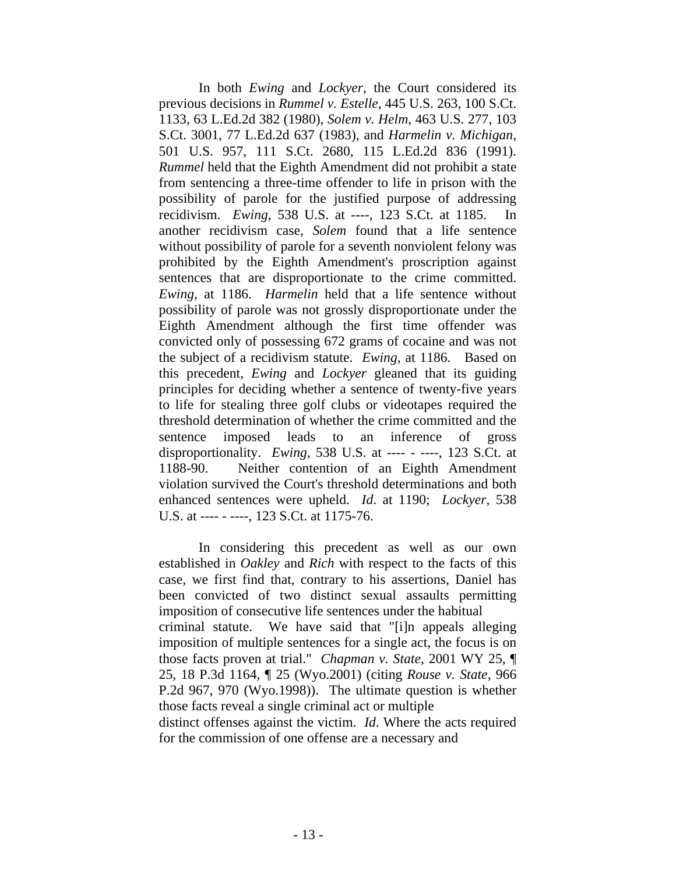In both *Ewing* and *Lockyer*, the Court considered its previous decisions in *Rummel v. Estelle*, 445 U.S. 263, 100 S.Ct. 1133, 63 L.Ed.2d 382 (1980), *Solem v. Helm*, 463 U.S. 277, 103 S.Ct. 3001, 77 L.Ed.2d 637 (1983), and *Harmelin v. Michigan*, 501 U.S. 957, 111 S.Ct. 2680, 115 L.Ed.2d 836 (1991). *Rummel* held that the Eighth Amendment did not prohibit a state from sentencing a three-time offender to life in prison with the possibility of parole for the justified purpose of addressing recidivism. *Ewing*, 538 U.S. at ----, 123 S.Ct. at 1185. In another recidivism case, *Solem* found that a life sentence without possibility of parole for a seventh nonviolent felony was prohibited by the Eighth Amendment's proscription against sentences that are disproportionate to the crime committed. *Ewing*, at 1186. *Harmelin* held that a life sentence without possibility of parole was not grossly disproportionate under the Eighth Amendment although the first time offender was convicted only of possessing 672 grams of cocaine and was not the subject of a recidivism statute. *Ewing*, at 1186. Based on this precedent, *Ewing* and *Lockyer* gleaned that its guiding principles for deciding whether a sentence of twenty-five years to life for stealing three golf clubs or videotapes required the threshold determination of whether the crime committed and the sentence imposed leads to an inference of gross disproportionality. *Ewing*, 538 U.S. at ---- - ----, 123 S.Ct. at 1188-90. Neither contention of an Eighth Amendment violation survived the Court's threshold determinations and both enhanced sentences were upheld. *Id*. at 1190; *Lockyer*, 538 U.S. at ---- - ----, 123 S.Ct. at 1175-76.

In considering this precedent as well as our own established in *Oakley* and *Rich* with respect to the facts of this case, we first find that, contrary to his assertions, Daniel has been convicted of two distinct sexual assaults permitting imposition of consecutive life sentences under the habitual criminal statute. We have said that "[i]n appeals alleging imposition of multiple sentences for a single act, the focus is on those facts proven at trial." *Chapman v. State*, 2001 WY 25, ¶ 25, 18 P.3d 1164, ¶ 25 (Wyo.2001) (citing *Rouse v. State*, 966 P.2d 967, 970 (Wyo.1998)). The ultimate question is whether those facts reveal a single criminal act or multiple distinct offenses against the victim. *Id*. Where the acts required for the commission of one offense are a necessary and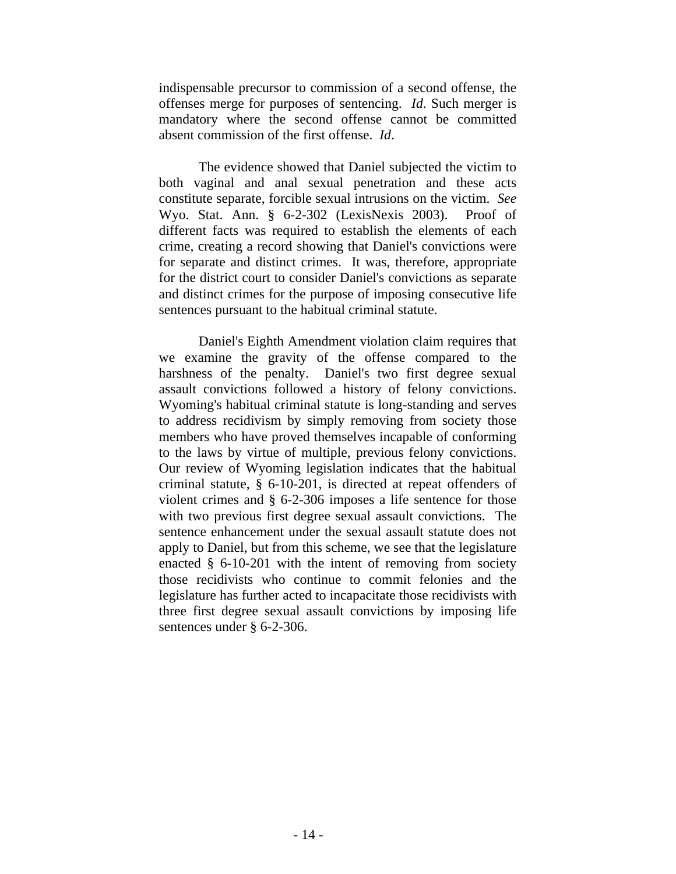indispensable precursor to commission of a second offense, the offenses merge for purposes of sentencing. *Id*. Such merger is mandatory where the second offense cannot be committed absent commission of the first offense. *Id*.

The evidence showed that Daniel subjected the victim to both vaginal and anal sexual penetration and these acts constitute separate, forcible sexual intrusions on the victim. *See* Wyo. Stat. Ann. § 6-2-302 (LexisNexis 2003). Proof of different facts was required to establish the elements of each crime, creating a record showing that Daniel's convictions were for separate and distinct crimes. It was, therefore, appropriate for the district court to consider Daniel's convictions as separate and distinct crimes for the purpose of imposing consecutive life sentences pursuant to the habitual criminal statute.

Daniel's Eighth Amendment violation claim requires that we examine the gravity of the offense compared to the harshness of the penalty. Daniel's two first degree sexual assault convictions followed a history of felony convictions. Wyoming's habitual criminal statute is long-standing and serves to address recidivism by simply removing from society those members who have proved themselves incapable of conforming to the laws by virtue of multiple, previous felony convictions. Our review of Wyoming legislation indicates that the habitual criminal statute, § 6-10-201, is directed at repeat offenders of violent crimes and § 6-2-306 imposes a life sentence for those with two previous first degree sexual assault convictions. The sentence enhancement under the sexual assault statute does not apply to Daniel, but from this scheme, we see that the legislature enacted § 6-10-201 with the intent of removing from society those recidivists who continue to commit felonies and the legislature has further acted to incapacitate those recidivists with three first degree sexual assault convictions by imposing life sentences under § 6-2-306.